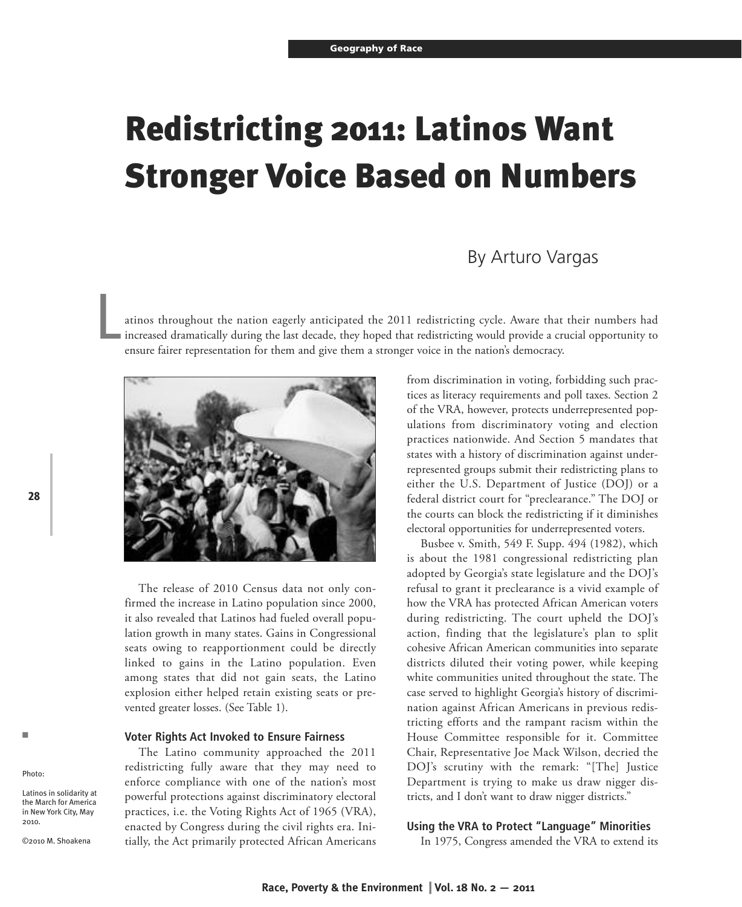# **Redistricting 2011: Latinos Want Stronger Voice Based on Numbers**

# By Arturo Vargas

atinos throughout the nation eagerly anticipated the 2011 redistricting cycle. Aware that their numbers had increased dramatically during the last decade, they hoped that redistricting would provide a crucial opportunity to ensure fairer representation for them and give them a stronger voice in the nation's democracy. L



The release of 2010 Census data not only confirmed the increase in Latino population since 2000, it also revealed that Latinos had fueled overall population growth in many states. Gains in Congressional seats owing to reapportionment could be directly linked to gains in the Latino population. Even among states that did not gain seats, the Latino explosion either helped retain existing seats or prevented greater losses. (See Table 1).

#### **Voter Rights Act Invoked to Ensure Fairness**

The Latino community approached the 2011 redistricting fully aware that they may need to enforce compliance with one of the nation's most powerful protections against discriminatory electoral practices, i.e. the Voting Rights Act of 1965 (VRA), enacted by Congress during the civil rights era. Initially, the Act primarily protected African Americans

from discrimination in voting, forbidding such practices as literacy requirements and poll taxes. Section 2 of the VRA, however, protects underrepresented populations from discriminatory voting and election practices nationwide. And Section 5 mandates that states with a history of discrimination against underrepresented groups submit their redistricting plans to either the U.S. Department of Justice (DOJ) or a federal district court for "preclearance." The DOJ or the courts can block the redistricting if it diminishes electoral opportunities for underrepresented voters.

Busbee v. Smith, 549 F. Supp. 494 (1982), which is about the 1981 congressional redistricting plan adopted by Georgia's state legislature and the DOJ's refusal to grant it preclearance is a vivid example of how the VRA has protected African American voters during redistricting. The court upheld the DOJ's action, finding that the legislature's plan to split cohesive African American communities into separate districts diluted their voting power, while keeping white communities united throughout the state. The case served to highlight Georgia's history of discrimination against African Americans in previous redistricting efforts and the rampant racism within the House Committee responsible for it. Committee Chair, Representative Joe Mack Wilson, decried the DOJ's scrutiny with the remark: "[The] Justice Department is trying to make us draw nigger districts, and I don't want to draw nigger districts."

### **Using the VRA to Protect "Language" Minorities**

In 1975, Congress amended the VRA to extend its

n

Photo:

2010.

Latinos in solidarity at the March for America in New York City, May

©2010 M. Shoakena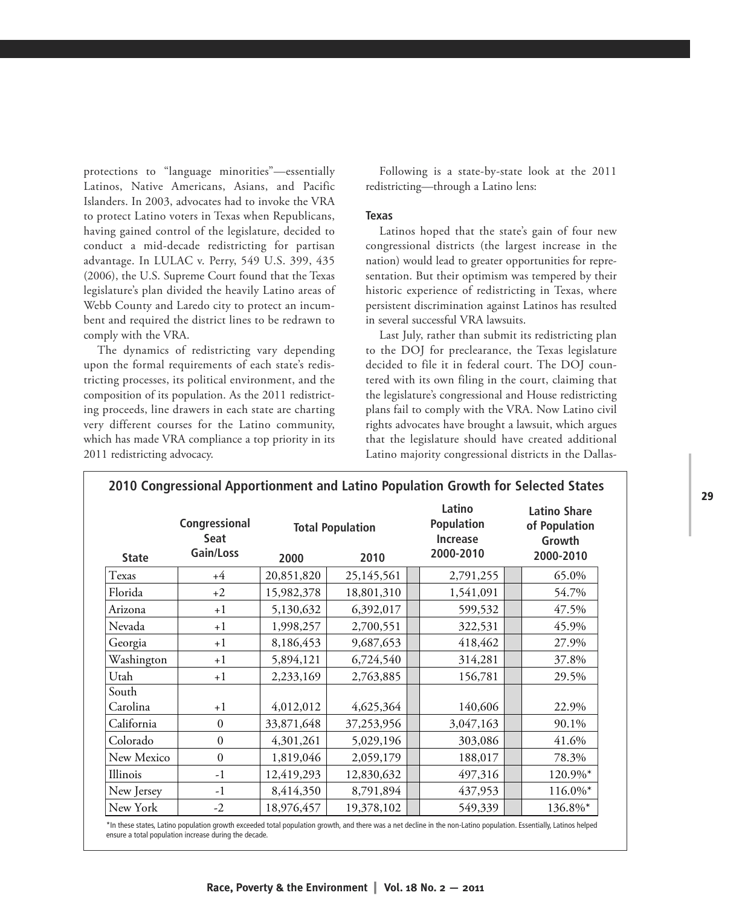protections to "language minorities"—essentially Latinos, Native Americans, Asians, and Pacific Islanders. In 2003, advocates had to invoke the VRA to protect Latino voters in Texas when Republicans, having gained control of the legislature, decided to conduct a mid-decade redistricting for partisan advantage. In LULAC v. Perry, 549 U.S. 399, 435 (2006), the U.S. Supreme Court found that the Texas legislature's plan divided the heavily Latino areas of Webb County and Laredo city to protect an incumbent and required the district lines to be redrawn to comply with the VRA.

The dynamics of redistricting vary depending upon the formal requirements of each state's redistricting processes, its political environment, and the composition of its population. As the 2011 redistricting proceeds, line drawers in each state are charting very different courses for the Latino community, which has made VRA compliance a top priority in its 2011 redistricting advocacy.

Following is a state-by-state look at the 2011 redistricting—through a Latino lens:

#### **Texas**

Latinos hoped that the state's gain of four new congressional districts (the largest increase in the nation) would lead to greater opportunities for representation. But their optimism was tempered by their historic experience of redistricting in Texas, where persistent discrimination against Latinos has resulted in several successful VRA lawsuits.

Last July, rather than submit its redistricting plan to the DOJ for preclearance, the Texas legislature decided to file it in federal court. The DOJ countered with its own filing in the court, claiming that the legislature's congressional and House redistricting plans fail to comply with the VRA. Now Latino civil rights advocates have brought a lawsuit, which argues that the legislature should have created additional Latino majority congressional districts in the Dallas-

| <b>State</b>      | Congressional<br><b>Seat</b><br>Gain/Loss | <b>Total Population</b> |            | Latino<br><b>Population</b><br><b>Increase</b> | <b>Latino Share</b><br>of Population<br>Growth |
|-------------------|-------------------------------------------|-------------------------|------------|------------------------------------------------|------------------------------------------------|
|                   |                                           | 2000                    | 2010       | 2000-2010                                      | 2000-2010                                      |
| Texas             | $+4$                                      | 20,851,820              | 25,145,561 | 2,791,255                                      | 65.0%                                          |
| Florida           | $+2$                                      | 15,982,378              | 18,801,310 | 1,541,091                                      | 54.7%                                          |
| Arizona           | $+1$                                      | 5,130,632               | 6,392,017  | 599,532                                        | 47.5%                                          |
| Nevada            | $+1$                                      | 1,998,257               | 2,700,551  | 322,531                                        | 45.9%                                          |
| Georgia           | $+1$                                      | 8,186,453               | 9,687,653  | 418,462                                        | 27.9%                                          |
| Washington        | $+1$                                      | 5,894,121               | 6,724,540  | 314,281                                        | 37.8%                                          |
| Utah              | $+1$                                      | 2,233,169               | 2,763,885  | 156,781                                        | 29.5%                                          |
| South<br>Carolina | $+1$                                      | 4,012,012               | 4,625,364  | 140,606                                        | 22.9%                                          |
| California        | $\boldsymbol{0}$                          | 33,871,648              | 37,253,956 | 3,047,163                                      | 90.1%                                          |
| Colorado          | $\boldsymbol{0}$                          | 4,301,261               | 5,029,196  | 303,086                                        | 41.6%                                          |
| New Mexico        | $\boldsymbol{0}$                          | 1,819,046               | 2,059,179  | 188,017                                        | 78.3%                                          |
| Illinois          | $-1$                                      | 12,419,293              | 12,830,632 | 497,316                                        | 120.9%*                                        |
| New Jersey        | $-1$                                      | 8,414,350               | 8,791,894  | 437,953                                        | 116.0%*                                        |
| New York          | $-2$                                      | 18,976,457              | 19,378,102 | 549,339                                        | 136.8%*                                        |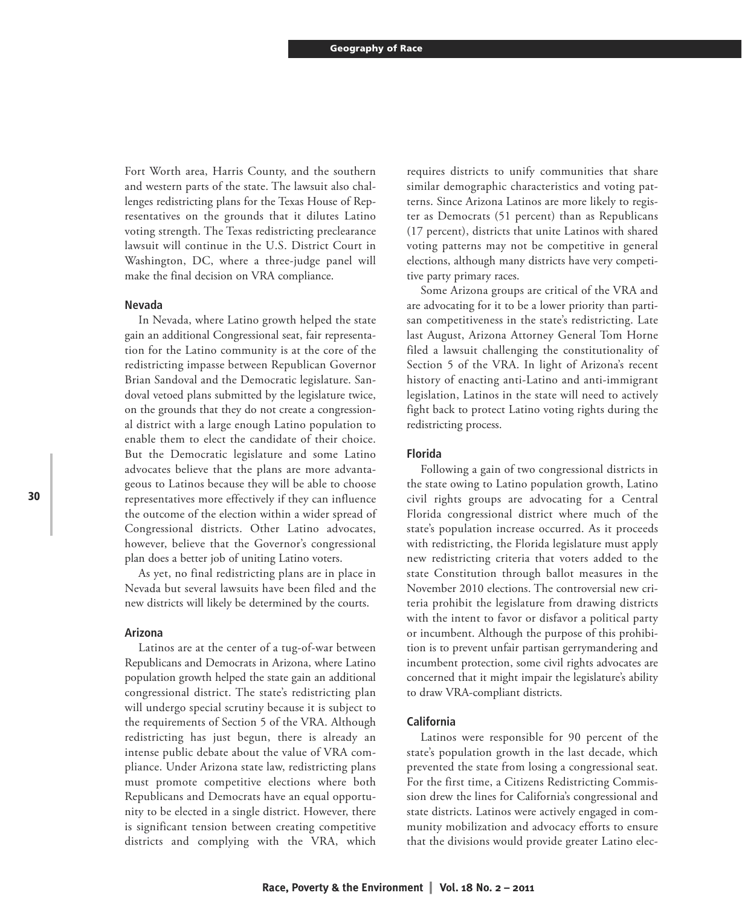Fort Worth area, Harris County, and the southern and western parts of the state. The lawsuit also challenges redistricting plans for the Texas House of Representatives on the grounds that it dilutes Latino voting strength. The Texas redistricting preclearance lawsuit will continue in the U.S. District Court in Washington, DC, where a three-judge panel will make the final decision on VRA compliance.

#### **Nevada**

In Nevada, where Latino growth helped the state gain an additional Congressional seat, fair representation for the Latino community is at the core of the redistricting impasse between Republican Governor Brian Sandoval and the Democratic legislature. Sandoval vetoed plans submitted by the legislature twice, on the grounds that they do not create a congressional district with a large enough Latino population to enable them to elect the candidate of their choice. But the Democratic legislature and some Latino advocates believe that the plans are more advantageous to Latinos because they will be able to choose representatives more effectively if they can influence the outcome of the election within a wider spread of Congressional districts. Other Latino advocates, however, believe that the Governor's congressional plan does a better job of uniting Latino voters.

As yet, no final redistricting plans are in place in Nevada but several lawsuits have been filed and the new districts will likely be determined by the courts.

#### **Arizona**

Latinos are at the center of a tug-of-war between Republicans and Democrats in Arizona, where Latino population growth helped the state gain an additional congressional district. The state's redistricting plan will undergo special scrutiny because it is subject to the requirements of Section 5 of the VRA. Although redistricting has just begun, there is already an intense public debate about the value of VRA compliance. Under Arizona state law, redistricting plans must promote competitive elections where both Republicans and Democrats have an equal opportunity to be elected in a single district. However, there is significant tension between creating competitive districts and complying with the VRA, which

requires districts to unify communities that share similar demographic characteristics and voting patterns. Since Arizona Latinos are more likely to register as Democrats (51 percent) than as Republicans (17 percent), districts that unite Latinos with shared voting patterns may not be competitive in general elections, although many districts have very competitive party primary races.

Some Arizona groups are critical of the VRA and are advocating for it to be a lower priority than partisan competitiveness in the state's redistricting. Late last August, Arizona Attorney General Tom Horne filed a lawsuit challenging the constitutionality of Section 5 of the VRA. In light of Arizona's recent history of enacting anti-Latino and anti-immigrant legislation, Latinos in the state will need to actively fight back to protect Latino voting rights during the redistricting process.

# **Florida**

Following a gain of two congressional districts in the state owing to Latino population growth, Latino civil rights groups are advocating for a Central Florida congressional district where much of the state's population increase occurred. As it proceeds with redistricting, the Florida legislature must apply new redistricting criteria that voters added to the state Constitution through ballot measures in the November 2010 elections. The controversial new criteria prohibit the legislature from drawing districts with the intent to favor or disfavor a political party or incumbent. Although the purpose of this prohibition is to prevent unfair partisan gerrymandering and incumbent protection, some civil rights advocates are concerned that it might impair the legislature's ability to draw VRA-compliant districts.

#### **California**

Latinos were responsible for 90 percent of the state's population growth in the last decade, which prevented the state from losing a congressional seat. For the first time, a Citizens Redistricting Commission drew the lines for California's congressional and state districts. Latinos were actively engaged in community mobilization and advocacy efforts to ensure that the divisions would provide greater Latino elec-